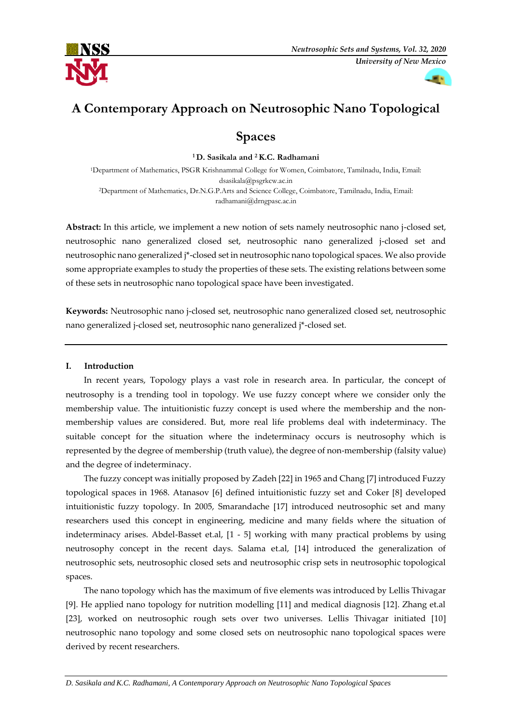



# **A Contemporary Approach on Neutrosophic Nano Topological**

# **Spaces**

**<sup>1</sup> D. Sasikala and 2K.C. Radhamani**

<sup>1</sup>Department of Mathematics, PSGR Krishnammal College for Women, Coimbatore, Tamilnadu, India, Email: dsasikala@psgrkcw.ac.in <sup>2</sup>Department of Mathematics, Dr.N.G.P.Arts and Science College, Coimbatore, Tamilnadu, India, Email: radhamani@drngpasc.ac.in

**Abstract:** In this article, we implement a new notion of sets namely neutrosophic nano j-closed set, neutrosophic nano generalized closed set, neutrosophic nano generalized j-closed set and neutrosophic nano generalized j\*-closed set in neutrosophic nano topological spaces. We also provide some appropriate examples to study the properties of these sets. The existing relations between some of these sets in neutrosophic nano topological space have been investigated.

**Keywords:** Neutrosophic nano j-closed set, neutrosophic nano generalized closed set, neutrosophic nano generalized j-closed set, neutrosophic nano generalized j\*-closed set.

### **I. Introduction**

In recent years, Topology plays a vast role in research area. In particular, the concept of neutrosophy is a trending tool in topology. We use fuzzy concept where we consider only the membership value. The intuitionistic fuzzy concept is used where the membership and the nonmembership values are considered. But, more real life problems deal with indeterminacy. The suitable concept for the situation where the indeterminacy occurs is neutrosophy which is represented by the degree of membership (truth value), the degree of non-membership (falsity value) and the degree of indeterminacy.

The fuzzy concept was initially proposed by Zadeh [22] in 1965 and Chang [7] introduced Fuzzy topological spaces in 1968. Atanasov [6] defined intuitionistic fuzzy set and Coker [8] developed intuitionistic fuzzy topology. In 2005, Smarandache [17] introduced neutrosophic set and many researchers used this concept in engineering, medicine and many fields where the situation of indeterminacy arises. Abdel-Basset et.al, [1 - 5] working with many practical problems by using neutrosophy concept in the recent days. Salama et.al, [14] introduced the generalization of neutrosophic sets, neutrosophic closed sets and neutrosophic crisp sets in neutrosophic topological spaces.

The nano topology which has the maximum of five elements was introduced by Lellis Thivagar [9]. He applied nano topology for nutrition modelling [11] and medical diagnosis [12]. Zhang et.al [23], worked on neutrosophic rough sets over two universes. Lellis Thivagar initiated [10] neutrosophic nano topology and some closed sets on neutrosophic nano topological spaces were derived by recent researchers.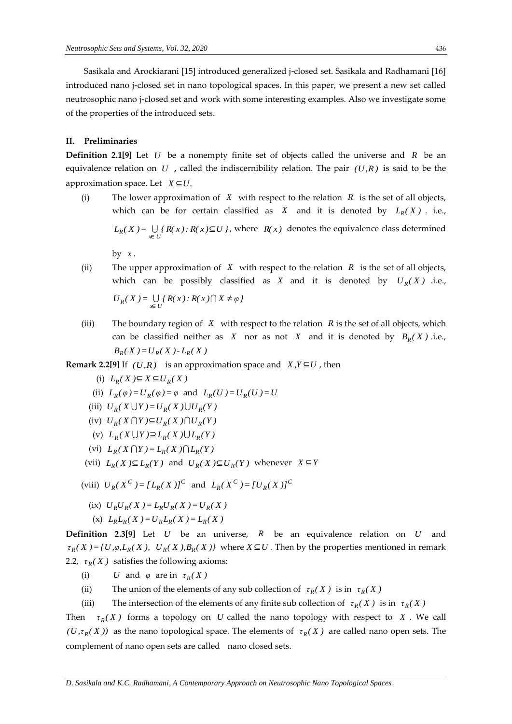Sasikala and Arockiarani [15] introduced generalized j-closed set. Sasikala and Radhamani [16] introduced nano j-closed set in nano topological spaces. In this paper, we present a new set called neutrosophic nano j-closed set and work with some interesting examples. Also we investigate some of the properties of the introduced sets.

#### **II. Preliminaries**

**Definition 2.1[9]** Let U be a nonempty finite set of objects called the universe and R be an equivalence relation on *<sup>U</sup>* **,** called the indiscernibility relation. The pair *(U,R)* is said to be the approximation space. Let *X* ⊆*U.*

(i) The lower approximation of  $X$  with respect to the relation  $R$  is the set of all objects, which can be for certain classified as X and it is denoted by  $L_R(X)$ . i.e.,  $L_R(X) = \bigcup_{x \in U} \{ R(x) : R(x) \subseteq U \}$ , where  $R(x)$  denotes the equivalence class determined

by *x* .

(ii) The upper approximation of  $X$  with respect to the relation  $R$  is the set of all objects, which can be possibly classified as X and it is denoted by  $U_R(X)$  *i.e.*,

 $U_R(X) = \bigcup_{x \in U} \{ R(x) : R(x) \cap X \neq \varphi \}$ 

- (iii) The boundary region of  $X$  with respect to the relation  $R$  is the set of all objects, which can be classified neither as X nor as not X and it is denoted by  $B_R(X)$  *i.e.*,  $B_R(X) = U_R(X) - L_R(X)$
- **Remark 2.2[9]** If  $(U,R)$  is an approximation space and  $X,Y \subseteq U$ , then
- $(L_R(X) \subseteq X \subseteq U_R(X))$
- (ii)  $L_R(\varphi) = U_R(\varphi) = \varphi$  and  $L_R(U) = U_R(U) = U$
- (iii)  $U_R(X \cup Y) = U_R(X) \cup U_R(Y)$
- $(U_R(X \cap Y) \subseteq U_R(X) \cap U_R(Y)$
- $(L_R(X \cup Y) \supseteq L_R(X \cup U) \supseteq L_R(Y))$
- $(L_R(X \cap Y) = L_R(X) \cap L_R(Y)$
- (vii)  $L_R(X) \subseteq L_R(Y)$  and  $U_R(X) \subseteq U_R(Y)$  whenever  $X \subseteq Y$
- (viii)  $U_R(X^C) = [L_R(X)]^C$  and  $L_R(X^C) = [U_R(X)]^C$
- $U_R U_R (X) = L_R U_R (X) = U_R (X)$
- $(L_R L_R(X)) = U_R L_R(X) = L_R(X)$

**Definition 2.3[9]** Let *U* be an universe, *R* be an equivalence relation on *U* and  $\tau_R(X) = \{U, \varphi, L_R(X), U_R(X), B_R(X)\}\$  where  $X \subseteq U$ . Then by the properties mentioned in remark 2.2, τ<sub>*R</sub>*(*X*) satisfies the following axioms:</sub>

- (i) *U* and  $φ$  are in  $τ_R(X)$
- (ii) The union of the elements of any sub collection of  $\tau_R(X)$  is in  $\tau_R(X)$
- (iii) The intersection of the elements of any finite sub collection of  $\tau_R(X)$  is in  $\tau_R(X)$

Then  $\tau_R(X)$  forms a topology on U called the nano topology with respect to X. We call  $(U, \tau_R(X))$  as the nano topological space. The elements of  $\tau_R(X)$  are called nano open sets. The complement of nano open sets are called nano closed sets.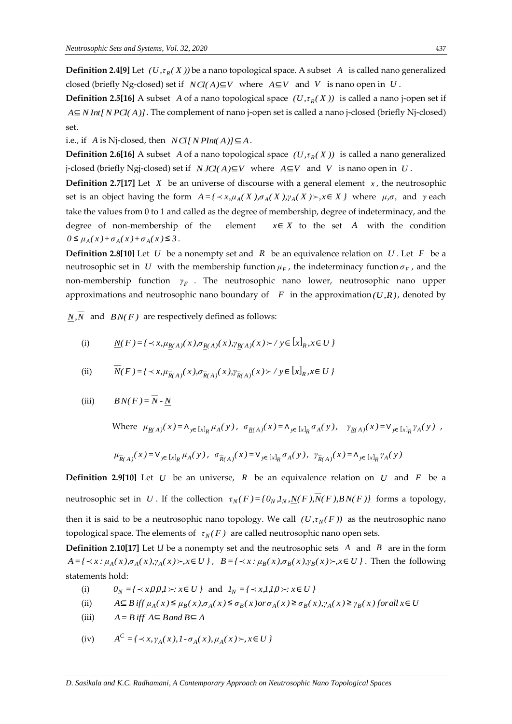**Definition 2.4[9]** Let  $(U, \tau_R(X))$  be a nano topological space. A subset A is called nano generalized closed (briefly Ng-closed) set if  $\ NCl(A) \subseteq V$  where  $A \subseteq V$  and V is nano open in U.

**Definition 2.5[16]** A subset A of a nano topological space  $(U, \tau_R(X))$  is called a nano j-open set if *A*⊆*N Int[N PCl( A)]* . The complement of nano j-open set is called a nano j-closed (briefly Nj-closed) set.

i.e., if *A* is Nj-closed, then  $NCI[NPInt(A)] \subseteq A$ .

**Definition 2.6[16]** A subset A of a nano topological space  $(U, \tau_R(X))$  is called a nano generalized *j*-closed (briefly Ngj-closed) set if  $N JCl(A) \subseteq V$  where  $A \subseteq V$  and V is nano open in U.

**Definition 2.7[17]** Let X be an universe of discourse with a general element x, the neutrosophic set is an object having the form  $A = \{ \langle x, \mu_A(X), \sigma_A(X), \gamma_A(X) \rangle, x \in X \}$  where  $\mu, \sigma$ , and  $\gamma$  each take the values from 0 to 1 and called as the degree of membership, degree of indeterminacy, and the degree of non-membership of the element *x*∈ *X* to the set *A* with the condition *0* ≤  $\mu_A(x) + \sigma_A(x) + \sigma_A(x)$  ≤ 3.

**Definition 2.8[10]** Let U be a nonempty set and R be an equivalence relation on U. Let F be a neutrosophic set in *U* with the membership function  $\mu_F$ , the indeterminacy function  $\sigma_F$ , and the non-membership function *F γ* . The neutrosophic nano lower, neutrosophic nano upper approximations and neutrosophic nano boundary of  $F$  in the approximation( $U, R$ ), denoted by

*N,N* and *BN(F )* are respectively defined as follows:

(i) 
$$
\underline{N}(F) = \{ \langle x, \mu_{R(A)}(x), \sigma_{R(A)}(x), \gamma_{R(A)}(x) \rangle \} \neq \{x\}_R, x \in U \}
$$

(ii) 
$$
\overline{N}(F) = \{ \langle x, \mu_{\overline{R}(A)}(x), \sigma_{\overline{R}(A)}(x), \gamma_{\overline{R}(A)}(x) \rangle \mid y \in [x]_R, x \in U \}
$$

(iii) 
$$
BN(F) = \overline{N} \cdot \underline{N}
$$

Where  $\mu_{R(A)}(x) = \Lambda_{y \in [x]_R} \mu_A(y)$ ,  $\sigma_{R(A)}(x) = \Lambda_{y \in [x]_R} \sigma_A(y)$ ,  $\gamma_{R(A)}(x) = V_{y \in [x]_R} \gamma_A(y)$ ,

$$
\mu_{R(A)}^-(x) = V_{y \in [x]_R} \mu_A^-(y), \sigma_{R(A)}^-(x) = V_{y \in [x]_R} \sigma_A^-(y), \gamma_{R(A)}^-(x) = \Lambda_{y \in [x]_R} \gamma_A^-(y)
$$

**Definition 2.9[10]** Let U be an universe, R be an equivalence relation on U and F be a neutrosophic set in U. If the collection  $\tau_N(F) = \{0_N, I_N, N(F), N(F), BN(F)\}\$  forms a topology, then it is said to be a neutrosophic nano topology. We call  $(U, \tau_N(F))$  as the neutrosophic nano topological space. The elements of *<sup>τ</sup> ( F ) <sup>N</sup>* are called neutrosophic nano open sets.

**Definition 2.10[17]** Let *U* be a nonempty set and the neutrosophic sets *A* and *B* are in the form  $A = \{ \langle x : \mu_A(x), \sigma_A(x), \gamma_A(x) \rangle, x \in U \}$ ,  $B = \{ \langle x : \mu_B(x), \sigma_B(x), \gamma_B(x) \rangle, x \in U \}$ . Then the following statements hold:

- (i)  $0_N = {\text{ and } x, 0, 0, 1 \times \text{ and } x_N = {\text{ and } x, 1, 1, 0 \times \text{ and } x \in U}$
- (ii)  $A \subseteq B$  iff  $\mu_A(x) \le \mu_B(x), \sigma_A(x) \le \sigma_B(x)$  or  $\sigma_A(x) \ge \sigma_B(x), \gamma_A(x) \ge \gamma_B(x)$  for all  $x \in U$
- (iii)  $A = B$  *iff*  $A ⊆ B$  *and*  $B ⊆ A$

(iv) 
$$
A^C = \{ \langle x, \gamma_A(x), I \cdot \sigma_A(x), \mu_A(x) \rangle, x \in U \}
$$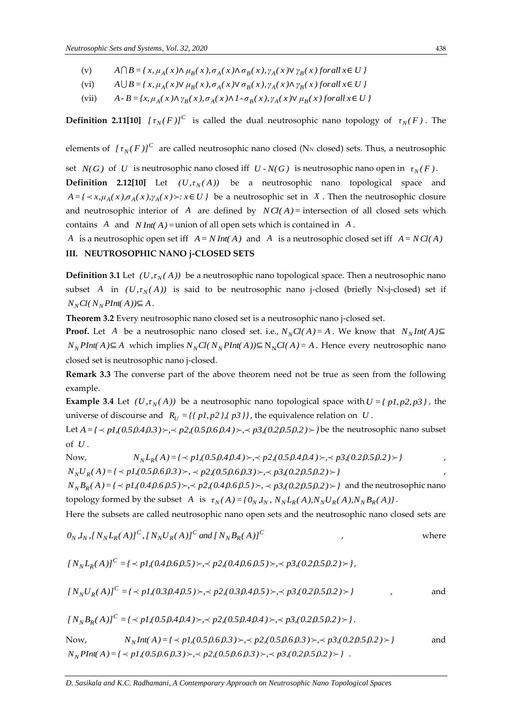- (v)  $A \bigcap B = \{x, \mu_A(x) \wedge \mu_B(x), \sigma_A(x) \wedge \sigma_B(x), \gamma_A(x) \vee \gamma_B(x) \}$  for all  $x \in U$
- (vi)  $A \bigcup B = \{x, \mu_A(x) \vee \mu_B(x), \sigma_A(x) \vee \sigma_B(x), \gamma_A(x) \wedge \gamma_B(x) \text{ for all } x \in U\}$
- (vii)  $A - B = \{x, \mu_A(x) \wedge \gamma_B(x), \sigma_A(x) \wedge 1 - \sigma_B(x), \gamma_A(x) \vee \mu_B(x) \}$  for all  $x \in U$

**Definition 2.11[10]**  $[\tau_N(F)]^C$  is called the dual neutrosophic nano topology of  $\tau_N(F)$ . The

elements of  $[\tau_N(F)]^C$  are called neutrosophic nano closed (N<sub>N</sub> closed) sets. Thus, a neutrosophic

set  $N(G)$  of U is neutrosophic nano closed iff  $U$  *-*  $N(G)$  is neutrosophic nano open in  $\tau_N(F)$ . **Definition 2.12[10]** Let  $(U, \tau_N(A))$  be a neutrosophic nano topological space and  $A = \{ \langle x, \mu_A(x), \sigma_A(x), \gamma_A(x) \rangle : x \in U \}$  be a neutrosophic set in X. Then the neutrosophic closure and neutrosophic interior of A are defined by  $NCl(A)$  = intersection of all closed sets which contains  $A$  and  $N Int(A) =$ union of all open sets which is contained in  $A$ .

*A* is a neutrosophic open set iff  $A = N Int(A)$  and  $A$  is a neutrosophic closed set iff  $A = N Cl(A)$ 

## **III. NEUTROSOPHIC NANO j-CLOSED SETS**

**Definition 3.1** Let  $(U, \tau_N(A))$  be a neutrosophic nano topological space. Then a neutrosophic nano subset A in  $(U, \tau_N(A))$  is said to be neutrosophic nano j-closed (briefly N<sub>N</sub>j-closed) set if  $N_NCl(N_NPlnt(A)) \subseteq A$ .

**Theorem 3.2** Every neutrosophic nano closed set is a neutrosophic nano j-closed set.

**Proof.** Let A be a neutrosophic nano closed set. i.e.,  $N_N Cl(A) = A$ . We know that  $N_N Int(A) \subseteq$ *N*<sub>*N</sub> PInt*(*A*)⊆ *A* which implies  $N_N Cl(N_N PInt(A)) \subseteq N_N Cl(A) = A$ . Hence every neutrosophic nano</sub> closed set is neutrosophic nano j-closed.

**Remark 3.3** The converse part of the above theorem need not be true as seen from the following example.

**Example 3.4** Let  $(U, \tau_N(A))$  be a neutrosophic nano topological space with  $U = \{p1, p2, p3\}$ , the universe of discourse and  $R_U = \{ \{ pl, p2 \}, \{ p3 \} \}$ , the equivalence relation on U.

Let  $A = \{ \prec pI, (0.5,0.4,0.3) \succ, \prec p2, (0.5,0.6,0.4) \succ, \prec p3, (0.2,0.5,0.2) \succ \}$  be the neutrosophic nano subset of *<sup>U</sup>* .

Now,  
\n
$$
N_N L_R(A) = \{ \langle pI, (0.5, 0.4, 0.4) \rangle, \langle p2, (0.5, 0.4, 0.4) \rangle, \langle p3, (0.2, 0.5, 0.2) \rangle \}
$$
\n
$$
N_N U_R(A) = \{ \langle pI, (0.5, 0.6, 0.3) \rangle, \langle p2, (0.5, 0.6, 0.3) \rangle, \langle p3, (0.2, 0.5, 0.2) \rangle \}
$$

 $N_N B_R(A) = \{ \langle pI_n(0.4, 0.6, 0.5) \rangle_0, \langle p2n, 0.4, 0.6, 0.5 \rangle_0, \langle p3n, 0.2, 0.5, 0.2 \rangle_0, \}$  and the neutrosophic nano topology formed by the subset A is  $\tau_N(A) = \{0_N, I_N, N_N L_R(A), N_N U_R(A), N_N B_R(A)\}\.$ 

Here the subsets are called neutrosophic nano open sets and the neutrosophic nano closed sets are

$$
0_N, I_N, [N_N L_R(A)]^C, [N_N U_R(A)]^C \text{ and } [N_N B_R(A)]^C \qquad ,
$$
 where

$$
[N_{N}L_{R}(A)]^{C} = \{ \langle pl, (0.4, 0.6, 0.5) \rangle, \langle pl, (0.4, 0.6, 0.5) \rangle, \langle pl, (0.2, 0.5, 0.2) \rangle \}.
$$

$$
[N_N U_R(A)]^C = \{ \langle pI, (0.3, 0.4, 0.5) \rangle, \langle p2, (0.3, 0.4, 0.5) \rangle, \langle p3, (0.2, 0.5, 0.2) \rangle \} \qquad ,
$$
 and

$$
[N_{N}B_{R}(A)]^{C} = \{ \langle pI,(0.5,0.4,0.4) \rangle, \langle p2,(0.5,0.4,0.4) \rangle, \langle p3,(0.2,0.5,0.2) \rangle \}.
$$

Now, 
$$
N_N Int(A) = \{ \langle pI, (0.5, 0.6, 0.3) \rangle, \langle p2, (0.5, 0.6, 0.3) \rangle, \langle p3, (0.2, 0.5, 0.2) \rangle \}
$$
 and  $N_N P Int(A) = \{ \langle pI, (0.5, 0.6, 0.3) \rangle, \langle p2, (0.5, 0.6, 0.3) \rangle, \langle p3, (0.2, 0.5, 0.2) \rangle \}$ .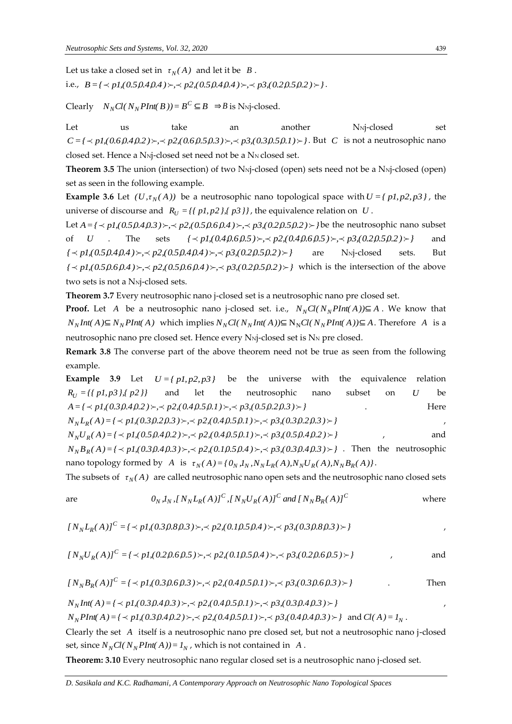are

Let us take a closed set in  $\tau_N(A)$  and let it be  $|B|$ . i.e.,  $B = \{ \langle pI, (0.5, 0.4, 0.4) \rangle, \langle p2, (0.5, 0.4, 0.4) \rangle, \langle p3, (0.2, 0.5, 0.2) \rangle \}$ .

 $\text{Clearly } N_N Cl(N_N \text{PInt}(B)) = B^C \subseteq B \Rightarrow B \text{ is Nnj-closed.}$ 

Let us take an another N<sub>N</sub>j-closed set  $C = \{ \{ \prec pI, (0.6, 0.4, 0.2) \rangle, \prec p2, (0.6, 0.5, 0.3) \rangle, \prec p3, (0.3, 0.5, 0.1) \rangle \}$ . But *C* is not a neutrosophic nano closed set. Hence a N<sub>N</sub>j-closed set need not be a N<sub>N</sub> closed set.

**Theorem 3.5** The union (intersection) of two N<sub>N</sub>j-closed (open) sets need not be a N<sub>N</sub>j-closed (open) set as seen in the following example.

**Example 3.6** Let  $(U, \tau_N(A))$  be a neutrosophic nano topological space with  $U = \{p1, p2, p3\}$ , the universe of discourse and  $R_U = \{ \{ pl, p2 \}, \{ p3 \} \}$ , the equivalence relation on U.

Let  $A = \{ \prec pI, (0.5,0.4,0.3) \rangle, \prec p2, (0.5,0.6,0.4) \rangle, \prec p3, (0.2,0.5,0.2) \rangle$  be the neutrosophic nano subset of *U* . The sets *{ p1,(0.4,0.6,0.5), p2,(0.4,0.6,0.5), p3,(0.2,0.5,0.2)}* and  $\{\n\prec p1, (0.5,0.4,0.4) \rightarrow \prec p2, (0.5,0.4,0.4) \rightarrow \prec p3, (0.2,0.5,0.2) \rightarrow \}$ are N<sub>N</sub>j-closed sets. But  $\{ \langle p \rangle > pI(0.5,0.6,0.4) \rangle$ ,  $\{ \langle p \rangle > p2(0.5,0.6,0.4) \rangle$ ,  $\{ \langle p \rangle > p3(0.2,0.5,0.2) \rangle$  which is the intersection of the above two sets is not a N<sub>Nj-closed</sub> sets.

**Theorem 3.7** Every neutrosophic nano j-closed set is a neutrosophic nano pre closed set.

**Proof.** Let A be a neutrosophic nano j-closed set. i.e.,  $N_N Cl(N_N P Int(A)) \subseteq A$ . We know that  $N_N Int(A) \subseteq N_N P Int(A)$  which implies  $N_N Cl(N_N Int(A)) \subseteq N_N Cl(N_N P Int(A)) \subseteq A$ . Therefore A is a neutrosophic nano pre closed set. Hence every N<sub>Nj</sub>-closed set is N<sub>N</sub> pre closed.

**Remark 3.8** The converse part of the above theorem need not be true as seen from the following example.

**Example 3.9** Let  $U = \{p1, p2, p3\}$  be the universe with the equivalence relation  $R_U = \{ \{ p1, p3 \}, \{ p2 \} \}$ and let the neutrosophic nano subset on *U* be *A* = *{*  $\prec$  *p1*,(0.3,0.4,0.2) ≻,  $\prec$  *p*2,(0.4,0.5,0.1) ≻,  $\prec$  *p*3,(0.5,0.2,0.3) ≻ } . Here

 $N_N L_R(A) = \{ \langle pI_1(0.3,0.2,0.3) \rangle : \langle p21,0.4,0.5,0.1 \rangle \rangle : \langle p31,0.3,0.2,0.3 \rangle \rangle \}$  $N_N U_R(A) = \{ \langle p1, (0.5, 0.4, 0.2) \rangle : \langle p2, (0.4, 0.5, 0.1) \rangle : \langle p3, (0.5, 0.4, 0.2) \rangle \}$ , and  $N_N B_R(A) = \{ \langle p1, (0.3, 0.4, 0.3) \rangle, \langle p2, (0.1, 0.5, 0.4) \rangle, \langle p3, (0.3, 0.4, 0.3) \rangle \}$ . Then the neutrosophic nano topology formed by A is  $\tau_N(A) = \{0_N, l_N, N_N L_R(A), N_N U_R(A), N_N B_R(A)\}.$ 

The subsets of  $\tau_N(A)$  are called neutrosophic nano open sets and the neutrosophic nano closed sets

$$
0_N, I_N, [N_N L_R(A)]^C, [N_N U_R(A)]^C \text{ and } [N_N B_R(A)]^C \qquad \text{where}
$$

$$
[N_{N}L_{R}(A)]^{C} = \{ \langle pI,(0.3,0.8,0.3) \rangle, \langle p2,(0.1,0.5,0.4) \rangle, \langle p3,(0.3,0.8,0.3) \rangle \}
$$

$$
[N_N U_R(A)]^C = \{ \langle pI, (0.2, 0.6, 0.5) \rangle, \langle p2, (0.1, 0.5, 0.4) \rangle, \langle p3, (0.2, 0.6, 0.5) \rangle \}
$$
 and

$$
[N_N B_R(A)]^C = \{ \langle pl, (0.3, 0.6, 0.3) \rangle, \langle pl, (0.4, 0.5, 0.1) \rangle, \langle pl, (0.3, 0.6, 0.3) \rangle \}
$$
 Then

$$
N_N Int(A) = \{ \langle p1, (0.3, 0.4, 0.3) \rangle, \langle p2, (0.4, 0.5, 0.1) \rangle, \langle p3, (0.3, 0.4, 0.3) \rangle \}
$$

 $N_N$ PInt(A) = {  $\prec$  p1,(0.3,0.4,0.2) >  $\prec$  p2,(0.4,0.5,0.1) >  $\prec$  p3,(0.4,0.4,0.3) > } and Cl(A) =  $I_N$ .

Clearly the set A itself is a neutrosophic nano pre closed set, but not a neutrosophic nano j-closed set, since  $N_N Cl(N_N PInt(A)) = I_N$ , which is not contained in A.

**Theorem: 3.10** Every neutrosophic nano regular closed set is a neutrosophic nano j-closed set.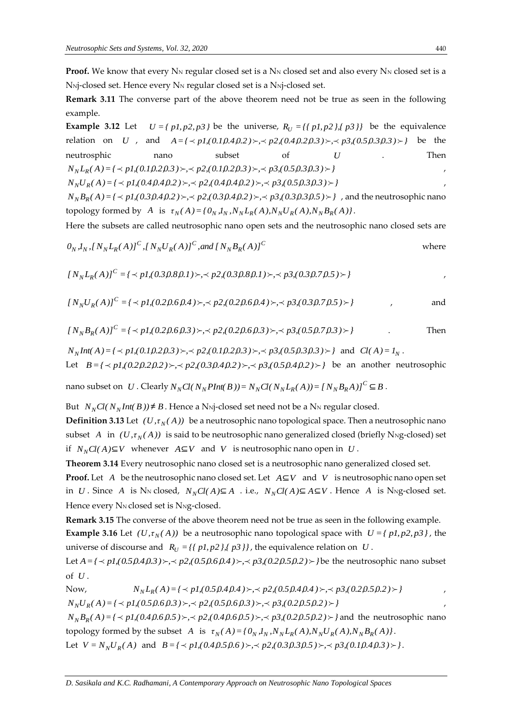**Proof.** We know that every  $N_N$  regular closed set is a  $N_N$  closed set and also every  $N_N$  closed set is a N<sub>Nj</sub>-closed set. Hence every N<sub>N</sub> regular closed set is a N<sub>Nj</sub>-closed set.

**Remark 3.11** The converse part of the above theorem need not be true as seen in the following example.

**Example 3.12** Let  $U = \{pI, p2, p3\}$  be the universe,  $R_U = \{\{pI, p2\}, \{p3\}\}\$  be the equivalence relation on *U*, and  $A = \{\langle \neg pI, (0.1,0.4,0.2) \rangle, \neg \neg p2, (0.4,0.2,0.3) \rangle, \neg \neg p3, (0.5,0.3,0.3) \rangle\}$  be the neutrosphic nano subset of *U* . Then  $N_N L_R(A) = \{ \langle p1, (0.1, 0.2, 0.3) \rangle : \langle p2, (0.1, 0.2, 0.3) \rangle : \langle p3, (0.5, 0.3, 0.3) \rangle : \}$  $N_N U_R(A) = \{ \langle p1, (0.4, 0.4, 0.2) \rangle : A \neq p2, (0.4, 0.4, 0.2) \rangle : A \neq p3, (0.5, 0.3, 0.3) \rangle$  $N_N B_R(A) = \{ \langle pI, (0.3,0.4,0.2) \rangle, \langle p2, (0.3,0.4,0.2) \rangle, \langle p3, (0.3,0.3,0.5) \rangle \}$ , and the neutrosophic nano topology formed by A is  $\tau_N(A) = \{0_N, l_N, N_N L_R(A), N_N U_R(A), N_N B_R(A)\}.$ 

Here the subsets are called neutrosophic nano open sets and the neutrosophic nano closed sets are

$$
0_N, I_N, [N_N L_R(A)]^C, [N_N U_R(A)]^C, and [N_N B_R(A)]^C
$$
 where

$$
[N_{N}L_{R}(A)]^{C} = \{ \langle pI_{1}(0.3,0.8,0.1) \rangle, \langle p2_{1}(0.3,0.8,0.1) \rangle, \langle p3_{1}(0.3,0.7,0.5) \rangle \} \tag{7}
$$

$$
[N_N U_R(A)]^C = \{ \langle pI, (0.2, 0.6, 0.4) \rangle, \langle p2, (0.2, 0.6, 0.4) \rangle, \langle p3, (0.3, 0.7, 0.5) \rangle \}
$$
 and

$$
[N_{N}B_{R}(A)]^{C} = \{ \langle pI,(0.2,0.6,0.3) \rangle, \langle p2,(0.2,0.6,0.3) \rangle, \langle p3,(0.5,0.7,0.3) \rangle \}
$$
 Then

$$
N_N Int(A) = \{ \prec p1, (0.1, 0.2, 0.3) \succ, \prec p2, (0.1, 0.2, 0.3) \succ, \prec p3, (0.5, 0.3, 0.3) \succ \} \text{ and } Cl(A) = I_N.
$$

Let  $B = \{ \langle p_1 | (0.2, 0.2, 0.2) \rangle, \langle p_2 | (0.3, 0.4, 0.2) \rangle, \langle p_3 | (0.5, 0.4, 0.2) \rangle \}$  be an another neutrosophic

nano subset on  $U$  . Clearly  $N_N Cl(N_NPlnt(B))=N_N Cl(N_NL_R(A))=N_N B_R A$  )  $J^C \subseteq B$  .

But  $N_N Cl(N_N Int(B)) \neq B$ . Hence a N<sub>N</sub>-closed set need not be a N<sub>N</sub> regular closed.

**Definition 3.13** Let  $(U, \tau_N(A))$  be a neutrosophic nano topological space. Then a neutrosophic nano subset A in  $(U, \tau_N(A))$  is said to be neutrosophic nano generalized closed (briefly N<sub>N</sub>g-closed) set if  $N_NCl(A) ⊆ V$  whenever  $A ⊆ V$  and  $V$  is neutrosophic nano open in  $U$ .

**Theorem 3.14** Every neutrosophic nano closed set is a neutrosophic nano generalized closed set.

**Proof.** Let  $A$  be the neutrosophic nano closed set. Let  $A \subseteq V$  and  $V$  is neutrosophic nano open set in *U*. Since *A* is N<sub>N</sub> closed,  $N_N Cl(A) ⊆ A$  . i.e.,  $N_N Cl(A) ⊆ A ⊆ V$ . Hence *A* is N<sub>N</sub>g-closed set. Hence every N<sub>N</sub> closed set is N<sub>Ng-closed.</sub>

**Remark 3.15** The converse of the above theorem need not be true as seen in the following example. **Example 3.16** Let  $(U, \tau_N(A))$  be a neutrosophic nano topological space with  $U = \{p1, p2, p3\}$ , the universe of discourse and  $R_U = \{ \{ pl, p2 \}, \{ p3 \} \}$ , the equivalence relation on U.

Let  $A = \{ \prec pI, (0.5,0.4,0.3) \succ, \prec p2, (0.5,0.6,0.4) \succ, \prec p3, (0.2,0.5,0.2) \succ \}$  be the neutrosophic nano subset of *<sup>U</sup>* .

Now,  
\n
$$
N_N L_R(A) = \{ \langle p1, (0.5, 0.4, 0.4) \rangle, \langle p2, (0.5, 0.4, 0.4) \rangle, \langle p3, (0.2, 0.5, 0.2) \rangle \}
$$
\n
$$
N_N U_R(A) = \{ \langle p1, (0.5, 0.6, 0.3) \rangle, \langle p2, (0.5, 0.6, 0.3) \rangle, \langle p3, (0.2, 0.5, 0.2) \rangle \}
$$

 $N_N B_R(A) = \{ \langle pI, (0.4, 0.6, 0.5) \rangle, \langle p2, (0.4, 0.6, 0.5) \rangle, \langle p3, (0.2, 0.5, 0.2) \rangle \}$  and the neutrosophic nano topology formed by the subset A is  $\tau_N(A) = \{0_N, I_N, N_N L_R(A), N_N U_R(A), N_N B_R(A)\}\$ .

Let  $V = N_p U_R(A)$  and  $B = \{ \langle p1, (0.4, 0.5, 0.6) \rangle, \langle p2, (0.3, 0.3, 0.5) \rangle, \langle p3, (0.1, 0.4, 0.3) \rangle \}$ .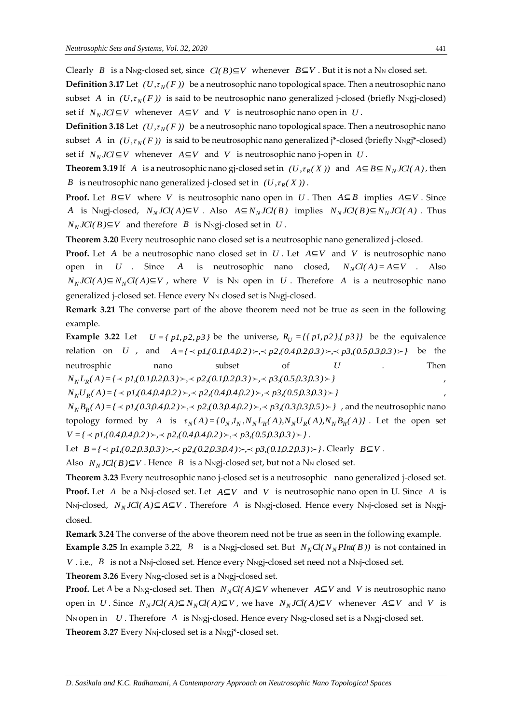Clearly *B* is a N<sub>N</sub>g-closed set, since  $Cl(B) \subseteq V$  whenever  $B \subseteq V$ . But it is not a N<sub>N</sub> closed set. **Definition 3.17** Let  $(U, \tau_N(F))$  be a neutrosophic nano topological space. Then a neutrosophic nano subset *A* in  $(U, \tau_N(F))$  is said to be neutrosophic nano generalized j-closed (briefly N<sub>N</sub>gj-closed) set if  $N_N JCl \subseteq V$  whenever  $A \subseteq V$  and V is neutrosophic nano open in U.

**Definition 3.18** Let  $(U, \tau_N(F))$  be a neutrosophic nano topological space. Then a neutrosophic nano subset A in  $(U, \tau_N(F))$  is said to be neutrosophic nano generalized j\*-closed (briefly N<sub>N</sub>gj\*-closed) set if  $N_N$ *JCl*  $\subseteq$ *V* whenever  $A \subseteq V$  and *V* is neutrosophic nano j-open in *U*.

**Theorem 3.19** If A is a neutrosophic nano gj-closed set in  $(U, \tau_R(X))$  and  $A \subseteq B \subseteq N_N JCl(A)$ , then *B* is neutrosophic nano generalized j-closed set in  $(U, \tau_R(X))$ .

**Proof.** Let  $B \subseteq V$  where V is neutrosophic nano open in U. Then  $A \subseteq B$  implies  $A \subseteq V$ . Since A is NNgj-closed,  $N_N JCl(A) \subseteq V$ . Also  $A \subseteq N_N JCl(B)$  implies  $N_N JCl(B) \subseteq N_N JCl(A)$ . Thus *N*<sup>*N*</sup>*NCl*(*B*)⊆*V* and therefore *B* is N<sub>N</sub>gj-closed set in *U*.

**Theorem 3.20** Every neutrosophic nano closed set is a neutrosophic nano generalized j-closed.

**Proof.** Let A be a neutrosophic nano closed set in *U*. Let A⊆*V* and *V* is neutrosophic nano open in *U* . Since *A* is neutrosophic nano closed,  $N_N Cl(A) = A \subseteq V$  . Also  $N_N$ *JCl(*  $A$ )⊆ $N_N$ *Cl(*  $A$ )⊆ $V$ , where  $V$  is N<sub>N</sub> open in  $U$ . Therefore  $A$  is a neutrosophic nano generalized j-closed set. Hence every N<sub>N</sub> closed set is N<sub>N</sub>gj-closed.

**Remark 3.21** The converse part of the above theorem need not be true as seen in the following example.

**Example 3.22** Let  $U = \{pI, p2, p3\}$  be the universe,  $R_U = \{\{pI, p2\}, \{p3\}\}\$  be the equivalence relation on *U*, and  $A = \{\langle \neg pI, (0.1,0.4,0.2) \rangle, \neg \neg p2, (0.4,0.2,0.3) \rangle, \neg \neg p3, (0.5,0.3,0.3) \rangle\}$  be the neutrosphic nano subset of *U* . Then  $N_N L_R(A) = \{ \langle p1, (0.1, 0.2, 0.3) \rangle, \langle p2, (0.1, 0.2, 0.3) \rangle, \langle p3, (0.5, 0.3, 0.3) \rangle \}$  $N_N U_R(A) = \{ \langle p1, (0.4, 0.4, 0.2) \rangle_1, \langle p2, (0.4, 0.4, 0.2) \rangle_2, \langle p3, (0.5, 0.3, 0.3) \rangle_2 \}$  $N_N B_R(A) = \{ \langle pI, (0.3,0.4,0.2) \rangle, \langle p2, (0.3,0.4,0.2) \rangle, \langle p3, (0.3,0.3,0.5) \rangle \}$ , and the neutrosophic nano

topology formed by A is  $\tau_N(A) = \{0_N, I_N, N_N L_R(A), N_N U_R(A), N_N B_R(A)\}\$ . Let the open set  $V = \{ \langle p1, (0.4, 0.4, 0.2) \rangle, \langle p2, (0.4, 0.4, 0.2) \rangle, \langle p3, (0.5, 0.3, 0.3) \rangle \}$ .

Let  $B = \{\langle p, (0.2, 0.3, 0.3) \rangle, \langle p, p, (0.2, 0.3, 0.4) \rangle, \langle p, p, (0.1, 0.2, 0.3) \rangle\}$ . Clearly  $B \subseteq V$ .

Also  $N_N$ *JCl(*  $B$ ) $\subseteq$ *V* . Hence  $B$  is a N<sub>N</sub>gj-closed set, but not a N<sub>N</sub> closed set.

**Theorem 3.23** Every neutrosophic nano j-closed set is a neutrosophic nano generalized j-closed set. **Proof.** Let A be a N<sub>N</sub>j-closed set. Let A⊆*V* and *V* is neutrosophic nano open in U. Since A is NNj-closed, *N<sup>N</sup> JCl( A)*⊆ *A*⊆*V* . Therefore *A* is NNgj-closed. Hence every NNj-closed set is NNgjclosed.

**Remark 3.24** The converse of the above theorem need not be true as seen in the following example. **Example 3.25** In example 3.22, *B* is a N<sub>N</sub> gj-closed set. But  $N_N Cl(N_N P Int(B))$  is not contained in *V* . i.e.,  $\,$   $B\,$  is not a N<sub>N</sub>j-closed set. Hence every N<sub>N</sub>gj-closed set need not a N<sub>N</sub>j-closed set.

**Theorem 3.26** Every N<sub>Ng-closed set is a N<sub>Ngj-closed set.</sub></sub>

**Proof.** Let *A* be a N<sub>N</sub>g-closed set. Then  $N_NCl(A) \subseteq V$  whenever  $A \subseteq V$  and *V* is neutrosophic nano open in U. Since  $N_N JCl(A) \subseteq N_N Cl(A) \subseteq V$ , we have  $N_N JCl(A) \subseteq V$  whenever  $A \subseteq V$  and V is N<sub>N</sub> open in  $~$   $U$  . Therefore  $~$   $A$   $~$  is N<sub>N</sub>gj-closed. Hence every N<sub>Ng-</sub>closed set is a N<sub>N</sub>gj-closed set. **Theorem 3.27** Every N<sub>N</sub>j-closed set is a N<sub>N</sub>gj<sup>\*</sup>-closed set.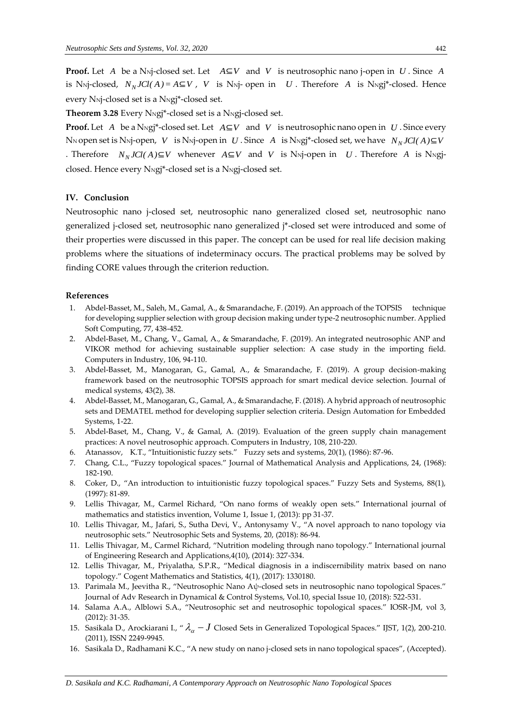**Proof.** Let A be a N<sub>Nj</sub>-closed set. Let  $A \subseteq V$  and V is neutrosophic nano j-open in U. Since A is N<sub>N</sub>j-closed,  $N_N JCl(A) = A \subseteq V$ , *V* is N<sub>N</sub>j-open in *U*. Therefore *A* is N<sub>N</sub>g<sub>j</sub>\*-closed. Hence every N<sub>N</sub>j-closed set is a N<sub>Ng</sub>j<sup>\*</sup>-closed set.

**Theorem 3.28** Every N<sub>N</sub>gj<sup>\*</sup>-closed set is a N<sub>N</sub>gj-closed set.

**Proof.** Let  $A$  be a N<sub>N</sub>gj\*-closed set. Let  $A \subseteq V$  and  $V$  is neutrosophic nano open in  $U$  . Since every N<sub>N</sub> open set is N<sub>N</sub>j-open, V  $\;$  is N<sub>N</sub>j-open in  $\; U$  . Since  $\; A\;$  is N<sub>N</sub>gj\*-closed set, we have  $\; N_NJCl(\,A\,) {\subseteq} V$ . Therefore  $N_N$  *JCl*( $A$ )⊆*V* whenever  $A \subseteq V$  and *V* is N<sub>N</sub>j-open in *U*. Therefore  $A$  is N<sub>N</sub>gjclosed. Hence every N<sub>N</sub>gj<sup>\*</sup>-closed set is a N<sub>N</sub>gj-closed set.

#### **IV. Conclusion**

Neutrosophic nano j-closed set, neutrosophic nano generalized closed set, neutrosophic nano generalized j-closed set, neutrosophic nano generalized j\*-closed set were introduced and some of their properties were discussed in this paper. The concept can be used for real life decision making problems where the situations of indeterminacy occurs. The practical problems may be solved by finding CORE values through the criterion reduction.

#### **References**

- 1. Abdel-Basset, M., Saleh, M., Gamal, A., & Smarandache, F. (2019). An approach of the TOPSIS technique for developing supplier selection with group decision making under type-2 neutrosophic number. Applied Soft Computing, 77, 438-452.
- 2. Abdel-Baset, M., Chang, V., Gamal, A., & Smarandache, F. (2019). An integrated neutrosophic ANP and VIKOR method for achieving sustainable supplier selection: A case study in the importing field. Computers in Industry, 106, 94-110.
- 3. Abdel-Basset, M., Manogaran, G., Gamal, A., & Smarandache, F. (2019). A group decision-making framework based on the neutrosophic TOPSIS approach for smart medical device selection. Journal of medical systems, 43(2), 38.
- 4. Abdel-Basset, M., Manogaran, G., Gamal, A., & Smarandache, F. (2018). A hybrid approach of neutrosophic sets and DEMATEL method for developing supplier selection criteria. Design Automation for Embedded Systems, 1-22.
- 5. Abdel-Baset, M., Chang, V., & Gamal, A. (2019). Evaluation of the green supply chain management practices: A novel neutrosophic approach. Computers in Industry, 108, 210-220.
- 6. Atanassov, K.T., "Intuitionistic fuzzy sets." Fuzzy sets and systems, 20(1), (1986): 87-96.
- 7. Chang, C.L., "Fuzzy topological spaces." Journal of Mathematical Analysis and Applications, 24, (1968): 182-190.
- 8. Coker, D., "An introduction to intuitionistic fuzzy topological spaces." Fuzzy Sets and Systems, 88(1), (1997): 81-89.
- 9. Lellis Thivagar, M., Carmel Richard, "On nano forms of weakly open sets." International journal of mathematics and statistics invention, Volume 1, Issue 1, (2013): pp 31-37.
- 10. Lellis Thivagar, M., Jafari, S., Sutha Devi, V., Antonysamy V., "A novel approach to nano topology via neutrosophic sets." Neutrosophic Sets and Systems, 20, (2018): 86-94.
- 11. Lellis Thivagar, M., Carmel Richard, "Nutrition modeling through nano topology." International journal of Engineering Research and Applications,4(10), (2014): 327-334.
- 12. Lellis Thivagar, M., Priyalatha, S.P.R., "Medical diagnosis in a indiscernibility matrix based on nano topology." Cogent Mathematics and Statistics, 4(1), (2017): 1330180.
- 13. Parimala M., Jeevitha R., "Neutrosophic Nano Aψ-closed sets in neutrosophic nano topological Spaces." Journal of Adv Research in Dynamical & Control Systems, Vol.10, special Issue 10, (2018): 522-531.
- 14. Salama A.A., Alblowi S.A., "Neutrosophic set and neutrosophic topological spaces." IOSR-JM, vol 3, (2012): 31-35.
- 15. Sasikala D., Arockiarani I., "  $\lambda_{\alpha}$   $J$  Closed Sets in Generalized Topological Spaces." IJST, 1(2), 200-210. (2011), ISSN 2249-9945.
- 16. Sasikala D., Radhamani K.C., "A new study on nano j-closed sets in nano topological spaces", (Accepted).